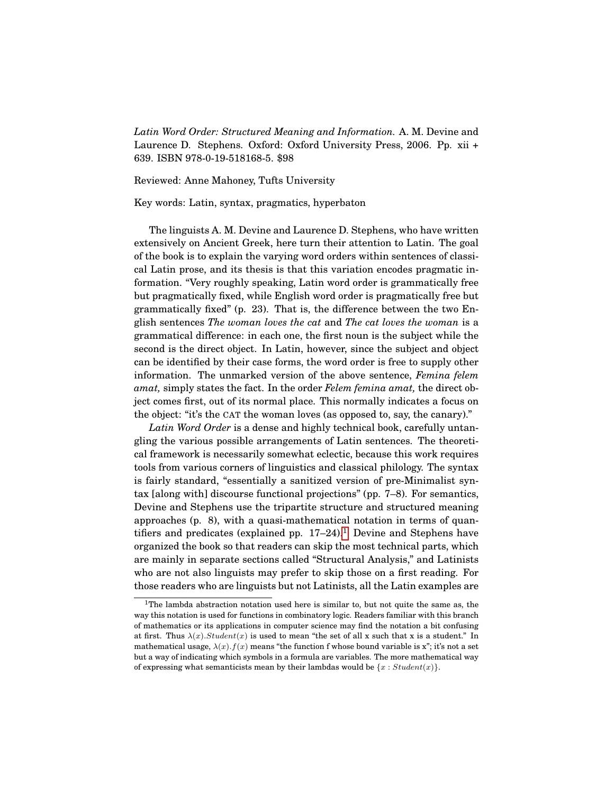*Latin Word Order: Structured Meaning and Information.* A. M. Devine and Laurence D. Stephens. Oxford: Oxford University Press, 2006. Pp. xii + 639. ISBN 978-0-19-518168-5. \$98

Reviewed: Anne Mahoney, Tufts University

Key words: Latin, syntax, pragmatics, hyperbaton

The linguists A. M. Devine and Laurence D. Stephens, who have written extensively on Ancient Greek, here turn their attention to Latin. The goal of the book is to explain the varying word orders within sentences of classical Latin prose, and its thesis is that this variation encodes pragmatic information. "Very roughly speaking, Latin word order is grammatically free but pragmatically fixed, while English word order is pragmatically free but grammatically fixed" (p. 23). That is, the difference between the two English sentences *The woman loves the cat* and *The cat loves the woman* is a grammatical difference: in each one, the first noun is the subject while the second is the direct object. In Latin, however, since the subject and object can be identified by their case forms, the word order is free to supply other information. The unmarked version of the above sentence, *Femina felem amat,* simply states the fact. In the order *Felem femina amat,* the direct object comes first, out of its normal place. This normally indicates a focus on the object: "it's the CAT the woman loves (as opposed to, say, the canary)."

*Latin Word Order* is a dense and highly technical book, carefully untangling the various possible arrangements of Latin sentences. The theoretical framework is necessarily somewhat eclectic, because this work requires tools from various corners of linguistics and classical philology. The syntax is fairly standard, "essentially a sanitized version of pre-Minimalist syntax [along with] discourse functional projections" (pp. 7–8). For semantics, Devine and Stephens use the tripartite structure and structured meaning approaches (p. 8), with a quasi-mathematical notation in terms of quantifiers and predicates (explained pp.  $17-24$  $17-24$ ).<sup>1</sup> Devine and Stephens have organized the book so that readers can skip the most technical parts, which are mainly in separate sections called "Structural Analysis," and Latinists who are not also linguists may prefer to skip those on a first reading. For those readers who are linguists but not Latinists, all the Latin examples are

<span id="page-0-0"></span> $1$ The lambda abstraction notation used here is similar to, but not quite the same as, the way this notation is used for functions in combinatory logic. Readers familiar with this branch of mathematics or its applications in computer science may find the notation a bit confusing at first. Thus  $\lambda(x)$ . Student(x) is used to mean "the set of all x such that x is a student." In mathematical usage,  $\lambda(x) \cdot f(x)$  means "the function f whose bound variable is x"; it's not a set but a way of indicating which symbols in a formula are variables. The more mathematical way of expressing what semanticists mean by their lambdas would be  $\{x : Student(x)\}\$ .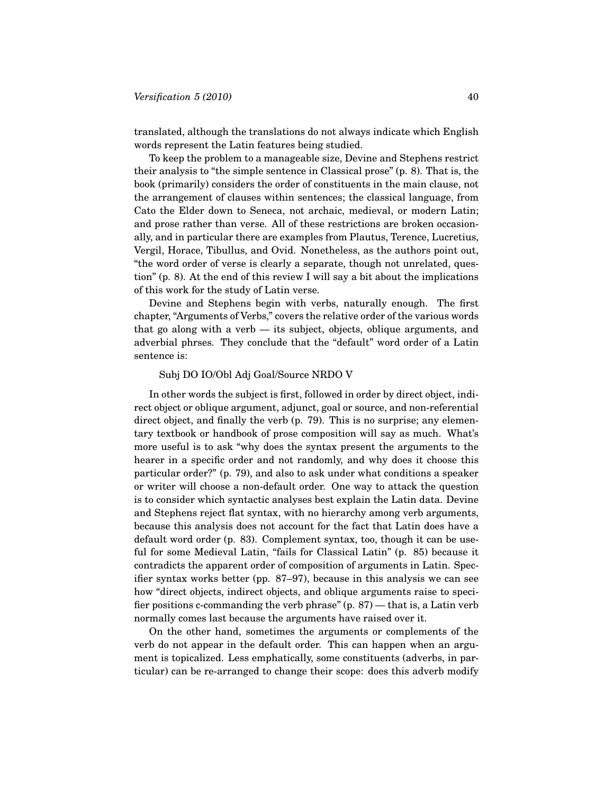translated, although the translations do not always indicate which English words represent the Latin features being studied.

To keep the problem to a manageable size, Devine and Stephens restrict their analysis to "the simple sentence in Classical prose" (p. 8). That is, the book (primarily) considers the order of constituents in the main clause, not the arrangement of clauses within sentences; the classical language, from Cato the Elder down to Seneca, not archaic, medieval, or modern Latin; and prose rather than verse. All of these restrictions are broken occasionally, and in particular there are examples from Plautus, Terence, Lucretius, Vergil, Horace, Tibullus, and Ovid. Nonetheless, as the authors point out, "the word order of verse is clearly a separate, though not unrelated, question" (p. 8). At the end of this review I will say a bit about the implications of this work for the study of Latin verse.

Devine and Stephens begin with verbs, naturally enough. The first chapter, "Arguments of Verbs," covers the relative order of the various words that go along with a verb — its subject, objects, oblique arguments, and adverbial phrses. They conclude that the "default" word order of a Latin sentence is:

## Subj DO IO/Obl Adj Goal/Source NRDO V

In other words the subject is first, followed in order by direct object, indirect object or oblique argument, adjunct, goal or source, and non-referential direct object, and finally the verb (p. 79). This is no surprise; any elementary textbook or handbook of prose composition will say as much. What's more useful is to ask "why does the syntax present the arguments to the hearer in a specific order and not randomly, and why does it choose this particular order?" (p. 79), and also to ask under what conditions a speaker or writer will choose a non-default order. One way to attack the question is to consider which syntactic analyses best explain the Latin data. Devine and Stephens reject flat syntax, with no hierarchy among verb arguments, because this analysis does not account for the fact that Latin does have a default word order (p. 83). Complement syntax, too, though it can be useful for some Medieval Latin, "fails for Classical Latin" (p. 85) because it contradicts the apparent order of composition of arguments in Latin. Specifier syntax works better (pp. 87–97), because in this analysis we can see how "direct objects, indirect objects, and oblique arguments raise to specifier positions c-commanding the verb phrase"  $(p. 87)$  — that is, a Latin verb normally comes last because the arguments have raised over it.

On the other hand, sometimes the arguments or complements of the verb do not appear in the default order. This can happen when an argument is topicalized. Less emphatically, some constituents (adverbs, in particular) can be re-arranged to change their scope: does this adverb modify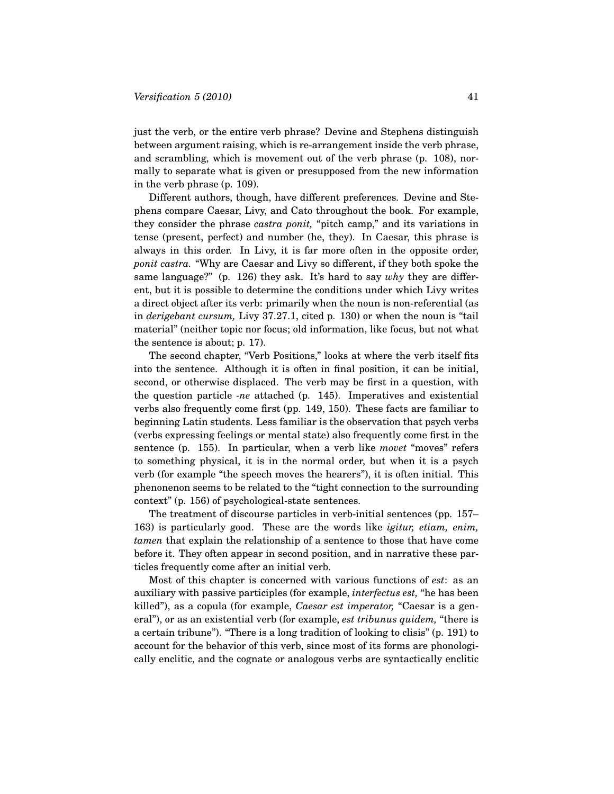just the verb, or the entire verb phrase? Devine and Stephens distinguish between argument raising, which is re-arrangement inside the verb phrase, and scrambling, which is movement out of the verb phrase (p. 108), normally to separate what is given or presupposed from the new information in the verb phrase (p. 109).

Different authors, though, have different preferences. Devine and Stephens compare Caesar, Livy, and Cato throughout the book. For example, they consider the phrase *castra ponit,* "pitch camp," and its variations in tense (present, perfect) and number (he, they). In Caesar, this phrase is always in this order. In Livy, it is far more often in the opposite order, *ponit castra.* "Why are Caesar and Livy so different, if they both spoke the same language?" (p. 126) they ask. It's hard to say *why* they are different, but it is possible to determine the conditions under which Livy writes a direct object after its verb: primarily when the noun is non-referential (as in *derigebant cursum,* Livy 37.27.1, cited p. 130) or when the noun is "tail material" (neither topic nor focus; old information, like focus, but not what the sentence is about; p. 17).

The second chapter, "Verb Positions," looks at where the verb itself fits into the sentence. Although it is often in final position, it can be initial, second, or otherwise displaced. The verb may be first in a question, with the question particle *-ne* attached (p. 145). Imperatives and existential verbs also frequently come first (pp. 149, 150). These facts are familiar to beginning Latin students. Less familiar is the observation that psych verbs (verbs expressing feelings or mental state) also frequently come first in the sentence (p. 155). In particular, when a verb like *movet* "moves" refers to something physical, it is in the normal order, but when it is a psych verb (for example "the speech moves the hearers"), it is often initial. This phenonenon seems to be related to the "tight connection to the surrounding context" (p. 156) of psychological-state sentences.

The treatment of discourse particles in verb-initial sentences (pp. 157– 163) is particularly good. These are the words like *igitur, etiam, enim, tamen* that explain the relationship of a sentence to those that have come before it. They often appear in second position, and in narrative these particles frequently come after an initial verb.

Most of this chapter is concerned with various functions of *est*: as an auxiliary with passive participles (for example, *interfectus est,* "he has been killed"), as a copula (for example, *Caesar est imperator,* "Caesar is a general"), or as an existential verb (for example, *est tribunus quidem,* "there is a certain tribune"). "There is a long tradition of looking to clisis" (p. 191) to account for the behavior of this verb, since most of its forms are phonologically enclitic, and the cognate or analogous verbs are syntactically enclitic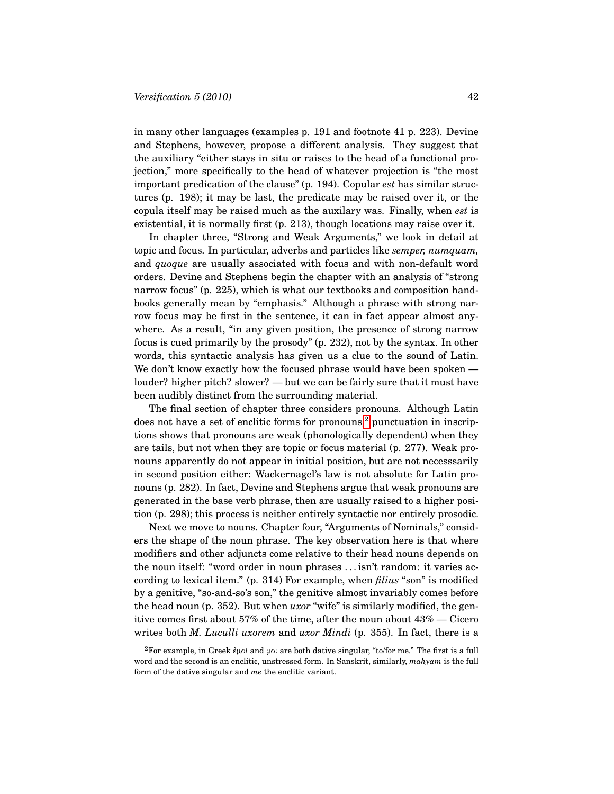in many other languages (examples p. 191 and footnote 41 p. 223). Devine and Stephens, however, propose a different analysis. They suggest that the auxiliary "either stays in situ or raises to the head of a functional projection," more specifically to the head of whatever projection is "the most important predication of the clause" (p. 194). Copular *est* has similar structures (p. 198); it may be last, the predicate may be raised over it, or the copula itself may be raised much as the auxilary was. Finally, when *est* is existential, it is normally first (p. 213), though locations may raise over it.

In chapter three, "Strong and Weak Arguments," we look in detail at topic and focus. In particular, adverbs and particles like *semper, numquam,* and *quoque* are usually associated with focus and with non-default word orders. Devine and Stephens begin the chapter with an analysis of "strong narrow focus" (p. 225), which is what our textbooks and composition handbooks generally mean by "emphasis." Although a phrase with strong narrow focus may be first in the sentence, it can in fact appear almost anywhere. As a result, "in any given position, the presence of strong narrow focus is cued primarily by the prosody" (p. 232), not by the syntax. In other words, this syntactic analysis has given us a clue to the sound of Latin. We don't know exactly how the focused phrase would have been spoken louder? higher pitch? slower? — but we can be fairly sure that it must have been audibly distinct from the surrounding material.

The final section of chapter three considers pronouns. Although Latin does not have a set of enclitic forms for pronouns,<sup>[2](#page-3-0)</sup> punctuation in inscriptions shows that pronouns are weak (phonologically dependent) when they are tails, but not when they are topic or focus material (p. 277). Weak pronouns apparently do not appear in initial position, but are not necesssarily in second position either: Wackernagel's law is not absolute for Latin pronouns (p. 282). In fact, Devine and Stephens argue that weak pronouns are generated in the base verb phrase, then are usually raised to a higher position (p. 298); this process is neither entirely syntactic nor entirely prosodic.

Next we move to nouns. Chapter four, "Arguments of Nominals," considers the shape of the noun phrase. The key observation here is that where modifiers and other adjuncts come relative to their head nouns depends on the noun itself: "word order in noun phrases . . . isn't random: it varies according to lexical item." (p. 314) For example, when *filius* "son" is modified by a genitive, "so-and-so's son," the genitive almost invariably comes before the head noun (p. 352). But when *uxor* "wife" is similarly modified, the genitive comes first about 57% of the time, after the noun about 43% — Cicero writes both *M. Luculli uxorem* and *uxor Mindi* (p. 355). In fact, there is a

<span id="page-3-0"></span><sup>&</sup>lt;sup>2</sup>For example, in Greek  $\epsilon \mu o \in A$  and  $\mu o \in A$  are both dative singular, "to/for me." The first is a full word and the second is an enclitic, unstressed form. In Sanskrit, similarly, *mahyam* is the full form of the dative singular and *me* the enclitic variant.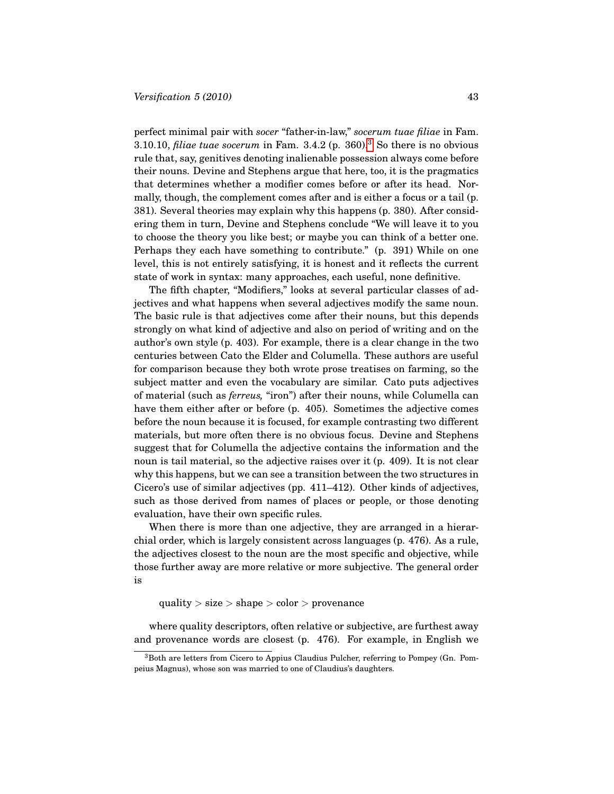perfect minimal pair with *socer* "father-in-law," *socerum tuae filiae* in Fam. [3](#page-4-0).10.10, *filiae tuae socerum* in Fam.  $3.4.2$  (p.  $360$ ).<sup>3</sup> So there is no obvious rule that, say, genitives denoting inalienable possession always come before their nouns. Devine and Stephens argue that here, too, it is the pragmatics that determines whether a modifier comes before or after its head. Normally, though, the complement comes after and is either a focus or a tail (p. 381). Several theories may explain why this happens (p. 380). After considering them in turn, Devine and Stephens conclude "We will leave it to you to choose the theory you like best; or maybe you can think of a better one. Perhaps they each have something to contribute." (p. 391) While on one level, this is not entirely satisfying, it is honest and it reflects the current state of work in syntax: many approaches, each useful, none definitive.

The fifth chapter, "Modifiers," looks at several particular classes of adjectives and what happens when several adjectives modify the same noun. The basic rule is that adjectives come after their nouns, but this depends strongly on what kind of adjective and also on period of writing and on the author's own style (p. 403). For example, there is a clear change in the two centuries between Cato the Elder and Columella. These authors are useful for comparison because they both wrote prose treatises on farming, so the subject matter and even the vocabulary are similar. Cato puts adjectives of material (such as *ferreus,* "iron") after their nouns, while Columella can have them either after or before (p. 405). Sometimes the adjective comes before the noun because it is focused, for example contrasting two different materials, but more often there is no obvious focus. Devine and Stephens suggest that for Columella the adjective contains the information and the noun is tail material, so the adjective raises over it (p. 409). It is not clear why this happens, but we can see a transition between the two structures in Cicero's use of similar adjectives (pp. 411–412). Other kinds of adjectives, such as those derived from names of places or people, or those denoting evaluation, have their own specific rules.

When there is more than one adjective, they are arranged in a hierarchial order, which is largely consistent across languages (p. 476). As a rule, the adjectives closest to the noun are the most specific and objective, while those further away are more relative or more subjective. The general order is

quality  $>$  size  $>$  shape  $>$  color  $>$  provenance

where quality descriptors, often relative or subjective, are furthest away and provenance words are closest (p. 476). For example, in English we

<span id="page-4-0"></span><sup>3</sup>Both are letters from Cicero to Appius Claudius Pulcher, referring to Pompey (Gn. Pompeius Magnus), whose son was married to one of Claudius's daughters.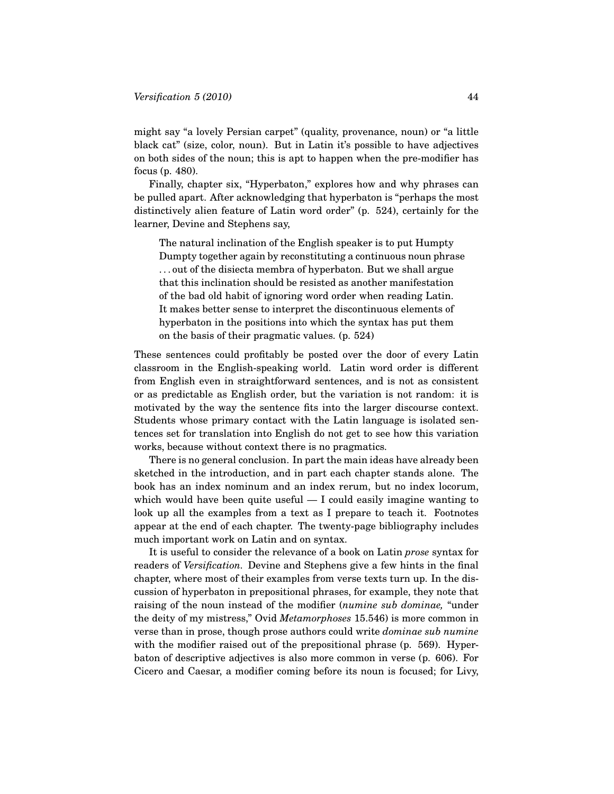might say "a lovely Persian carpet" (quality, provenance, noun) or "a little black cat" (size, color, noun). But in Latin it's possible to have adjectives on both sides of the noun; this is apt to happen when the pre-modifier has focus (p. 480).

Finally, chapter six, "Hyperbaton," explores how and why phrases can be pulled apart. After acknowledging that hyperbaton is "perhaps the most distinctively alien feature of Latin word order" (p. 524), certainly for the learner, Devine and Stephens say,

The natural inclination of the English speaker is to put Humpty Dumpty together again by reconstituting a continuous noun phrase . . . out of the disiecta membra of hyperbaton. But we shall argue that this inclination should be resisted as another manifestation of the bad old habit of ignoring word order when reading Latin. It makes better sense to interpret the discontinuous elements of hyperbaton in the positions into which the syntax has put them on the basis of their pragmatic values. (p. 524)

These sentences could profitably be posted over the door of every Latin classroom in the English-speaking world. Latin word order is different from English even in straightforward sentences, and is not as consistent or as predictable as English order, but the variation is not random: it is motivated by the way the sentence fits into the larger discourse context. Students whose primary contact with the Latin language is isolated sentences set for translation into English do not get to see how this variation works, because without context there is no pragmatics.

There is no general conclusion. In part the main ideas have already been sketched in the introduction, and in part each chapter stands alone. The book has an index nominum and an index rerum, but no index locorum, which would have been quite useful  $- I$  could easily imagine wanting to look up all the examples from a text as I prepare to teach it. Footnotes appear at the end of each chapter. The twenty-page bibliography includes much important work on Latin and on syntax.

It is useful to consider the relevance of a book on Latin *prose* syntax for readers of *Versification.* Devine and Stephens give a few hints in the final chapter, where most of their examples from verse texts turn up. In the discussion of hyperbaton in prepositional phrases, for example, they note that raising of the noun instead of the modifier (*numine sub dominae,* "under the deity of my mistress," Ovid *Metamorphoses* 15.546) is more common in verse than in prose, though prose authors could write *dominae sub numine* with the modifier raised out of the prepositional phrase (p. 569). Hyperbaton of descriptive adjectives is also more common in verse (p. 606). For Cicero and Caesar, a modifier coming before its noun is focused; for Livy,